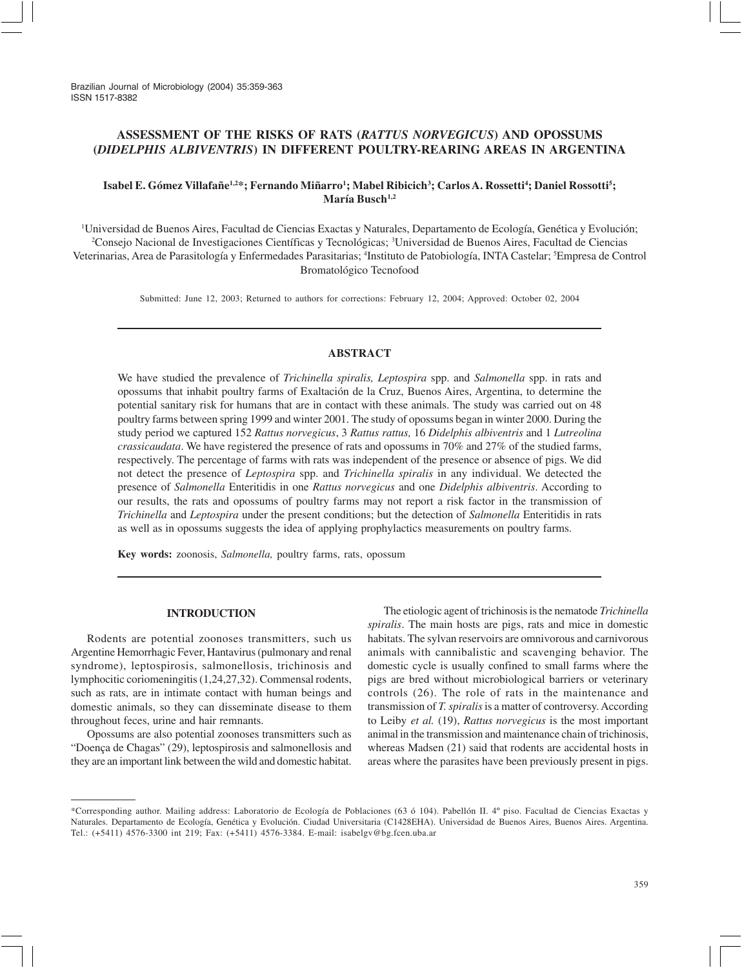Brazilian Journal of Microbiology (2004) 35:359-363 ISSN 1517-8382

# **ASSESSMENT OF THE RISKS OF RATS (***RATTUS NORVEGICUS***) AND OPOSSUMS (***DIDELPHIS ALBIVENTRIS***) IN DIFFERENT POULTRY-REARING AREAS IN ARGENTINA**

# $\bf{I}$ sabel E. Gómez Villafañe $^{1,2*}$ ; Fernando Miñarro<sup>1</sup>; Mabel Ribicich $^3$ ; Carlos A. Rossetti<sup>4</sup>; Daniel Rossotti<sup>5</sup>; María Busch<sup>1,2</sup>

1 Universidad de Buenos Aires, Facultad de Ciencias Exactas y Naturales, Departamento de Ecología, Genética y Evolución; 2 Consejo Nacional de Investigaciones Científicas y Tecnológicas; 3 Universidad de Buenos Aires, Facultad de Ciencias Veterinarias, Area de Parasitología y Enfermedades Parasitarias; <sup>4</sup>Instituto de Patobiología, INTA Castelar; <sup>5</sup>Empresa de Control Bromatológico Tecnofood

Submitted: June 12, 2003; Returned to authors for corrections: February 12, 2004; Approved: October 02, 2004

# **ABSTRACT**

We have studied the prevalence of *Trichinella spiralis, Leptospira* spp. and *Salmonella* spp. in rats and opossums that inhabit poultry farms of Exaltación de la Cruz, Buenos Aires, Argentina, to determine the potential sanitary risk for humans that are in contact with these animals. The study was carried out on 48 poultry farms between spring 1999 and winter 2001. The study of opossums began in winter 2000. During the study period we captured 152 *Rattus norvegicus*, 3 *Rattus rattus,* 16 *Didelphis albiventris* and 1 *Lutreolina crassicaudata*. We have registered the presence of rats and opossums in 70% and 27% of the studied farms, respectively. The percentage of farms with rats was independent of the presence or absence of pigs. We did not detect the presence of *Leptospira* spp. and *Trichinella spiralis* in any individual. We detected the presence of *Salmonella* Enteritidis in one *Rattus norvegicus* and one *Didelphis albiventris*. According to our results, the rats and opossums of poultry farms may not report a risk factor in the transmission of *Trichinella* and *Leptospira* under the present conditions; but the detection of *Salmonella* Enteritidis in rats as well as in opossums suggests the idea of applying prophylactics measurements on poultry farms.

**Key words:** zoonosis, *Salmonella,* poultry farms, rats, opossum

### **INTRODUCTION**

Rodents are potential zoonoses transmitters, such us Argentine Hemorrhagic Fever, Hantavirus (pulmonary and renal syndrome), leptospirosis, salmonellosis, trichinosis and lymphocitic coriomeningitis (1,24,27,32). Commensal rodents, such as rats, are in intimate contact with human beings and domestic animals, so they can disseminate disease to them throughout feces, urine and hair remnants.

Opossums are also potential zoonoses transmitters such as "Doença de Chagas" (29), leptospirosis and salmonellosis and they are an important link between the wild and domestic habitat.

The etiologic agent of trichinosis is the nematode *Trichinella spiralis*. The main hosts are pigs, rats and mice in domestic habitats. The sylvan reservoirs are omnivorous and carnivorous animals with cannibalistic and scavenging behavior. The domestic cycle is usually confined to small farms where the pigs are bred without microbiological barriers or veterinary controls (26). The role of rats in the maintenance and transmission of *T. spiralis* is a matter of controversy. According to Leiby *et al.* (19), *Rattus norvegicus* is the most important animal in the transmission and maintenance chain of trichinosis, whereas Madsen (21) said that rodents are accidental hosts in areas where the parasites have been previously present in pigs.

<sup>\*</sup>Corresponding author. Mailing address: Laboratorio de Ecología de Poblaciones (63 ó 104). Pabellón II. 4º piso. Facultad de Ciencias Exactas y Naturales. Departamento de Ecología, Genética y Evolución. Ciudad Universitaria (C1428EHA). Universidad de Buenos Aires, Buenos Aires. Argentina. Tel.: (+5411) 4576-3300 int 219; Fax: (+5411) 4576-3384. E-mail: isabelgv@bg.fcen.uba.ar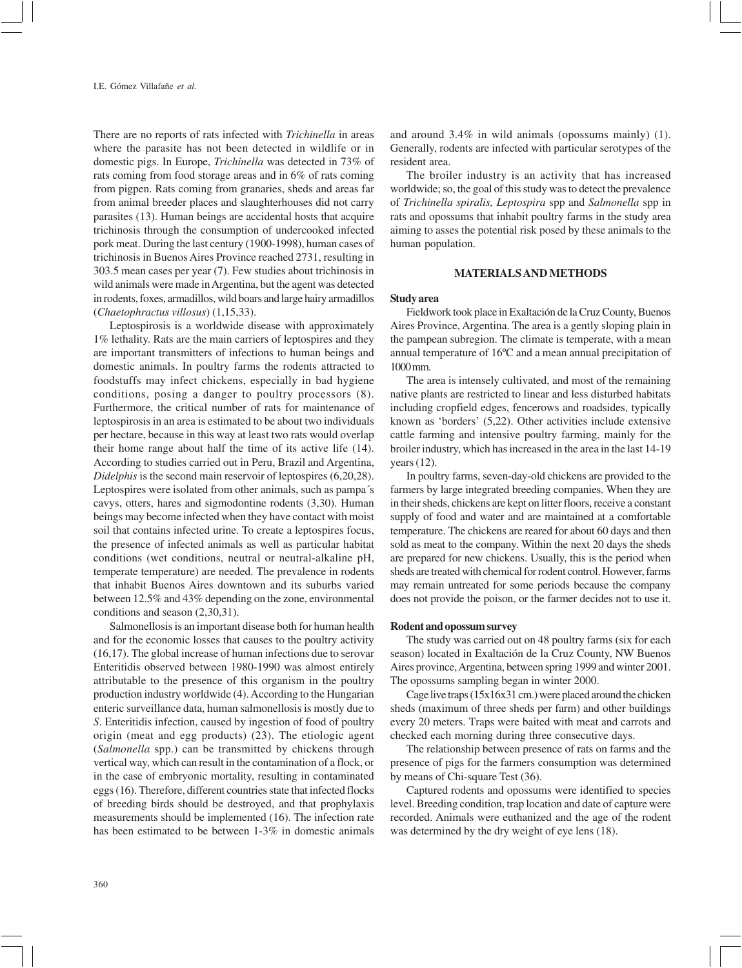There are no reports of rats infected with *Trichinella* in areas where the parasite has not been detected in wildlife or in domestic pigs. In Europe, *Trichinella* was detected in 73% of rats coming from food storage areas and in 6% of rats coming from pigpen. Rats coming from granaries, sheds and areas far from animal breeder places and slaughterhouses did not carry parasites (13). Human beings are accidental hosts that acquire trichinosis through the consumption of undercooked infected pork meat. During the last century (1900-1998), human cases of trichinosis in Buenos Aires Province reached 2731, resulting in 303.5 mean cases per year (7). Few studies about trichinosis in wild animals were made in Argentina, but the agent was detected in rodents, foxes, armadillos, wild boars and large hairy armadillos (*Chaetophractus villosus*) (1,15,33).

Leptospirosis is a worldwide disease with approximately 1% lethality. Rats are the main carriers of leptospires and they are important transmitters of infections to human beings and domestic animals. In poultry farms the rodents attracted to foodstuffs may infect chickens, especially in bad hygiene conditions, posing a danger to poultry processors (8). Furthermore, the critical number of rats for maintenance of leptospirosis in an area is estimated to be about two individuals per hectare, because in this way at least two rats would overlap their home range about half the time of its active life (14). According to studies carried out in Peru, Brazil and Argentina, *Didelphis* is the second main reservoir of leptospires (6,20,28). Leptospires were isolated from other animals, such as pampa´s cavys, otters, hares and sigmodontine rodents (3,30). Human beings may become infected when they have contact with moist soil that contains infected urine. To create a leptospires focus, the presence of infected animals as well as particular habitat conditions (wet conditions, neutral or neutral-alkaline pH, temperate temperature) are needed. The prevalence in rodents that inhabit Buenos Aires downtown and its suburbs varied between 12.5% and 43% depending on the zone, environmental conditions and season (2,30,31).

Salmonellosis is an important disease both for human health and for the economic losses that causes to the poultry activity (16,17). The global increase of human infections due to serovar Enteritidis observed between 1980-1990 was almost entirely attributable to the presence of this organism in the poultry production industry worldwide (4). According to the Hungarian enteric surveillance data, human salmonellosis is mostly due to *S*. Enteritidis infection, caused by ingestion of food of poultry origin (meat and egg products) (23). The etiologic agent (*Salmonella* spp.) can be transmitted by chickens through vertical way, which can result in the contamination of a flock, or in the case of embryonic mortality, resulting in contaminated eggs (16). Therefore, different countries state that infected flocks of breeding birds should be destroyed, and that prophylaxis measurements should be implemented (16). The infection rate has been estimated to be between 1-3% in domestic animals

and around 3.4% in wild animals (opossums mainly) (1). Generally, rodents are infected with particular serotypes of the resident area.

The broiler industry is an activity that has increased worldwide; so, the goal of this study was to detect the prevalence of *Trichinella spiralis, Leptospira* spp and *Salmonella* spp in rats and opossums that inhabit poultry farms in the study area aiming to asses the potential risk posed by these animals to the human population.

### **MATERIALS AND METHODS**

### **Study area**

Fieldwork took place in Exaltación de la Cruz County, Buenos Aires Province, Argentina. The area is a gently sloping plain in the pampean subregion. The climate is temperate, with a mean annual temperature of 16ºC and a mean annual precipitation of 1000 mm.

The area is intensely cultivated, and most of the remaining native plants are restricted to linear and less disturbed habitats including cropfield edges, fencerows and roadsides, typically known as 'borders' (5,22). Other activities include extensive cattle farming and intensive poultry farming, mainly for the broiler industry, which has increased in the area in the last 14-19 years (12).

In poultry farms, seven-day-old chickens are provided to the farmers by large integrated breeding companies. When they are in their sheds, chickens are kept on litter floors, receive a constant supply of food and water and are maintained at a comfortable temperature. The chickens are reared for about 60 days and then sold as meat to the company. Within the next 20 days the sheds are prepared for new chickens. Usually, this is the period when sheds are treated with chemical for rodent control. However, farms may remain untreated for some periods because the company does not provide the poison, or the farmer decides not to use it.

# **Rodent and opossum survey**

The study was carried out on 48 poultry farms (six for each season) located in Exaltación de la Cruz County, NW Buenos Aires province, Argentina, between spring 1999 and winter 2001. The opossums sampling began in winter 2000.

Cage live traps (15x16x31 cm.) were placed around the chicken sheds (maximum of three sheds per farm) and other buildings every 20 meters. Traps were baited with meat and carrots and checked each morning during three consecutive days.

The relationship between presence of rats on farms and the presence of pigs for the farmers consumption was determined by means of Chi-square Test (36).

Captured rodents and opossums were identified to species level. Breeding condition, trap location and date of capture were recorded. Animals were euthanized and the age of the rodent was determined by the dry weight of eye lens (18).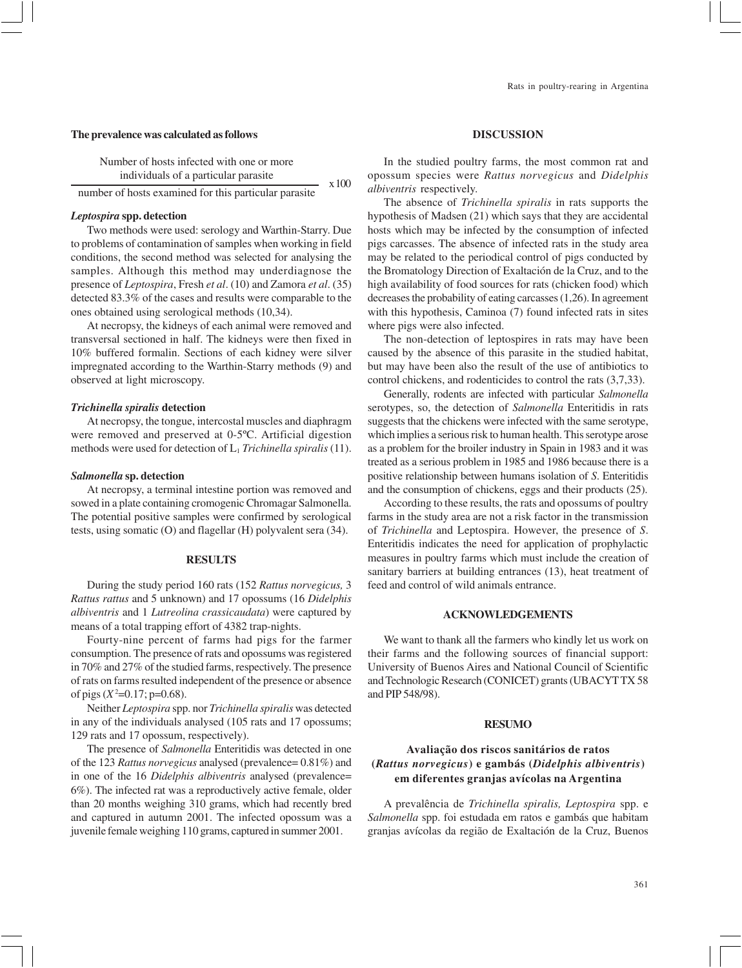#### **The prevalence was calculated as follows**

Number of hosts infected with one or more individuals of a particular parasite  $x 100$ 

number of hosts examined for this particular parasite

# *Leptospira* **spp. detection**

Two methods were used: serology and Warthin-Starry. Due to problems of contamination of samples when working in field conditions, the second method was selected for analysing the samples. Although this method may underdiagnose the presence of *Leptospira*, Fresh *et al*. (10) and Zamora *et al*. (35) detected 83.3% of the cases and results were comparable to the ones obtained using serological methods (10,34).

At necropsy, the kidneys of each animal were removed and transversal sectioned in half. The kidneys were then fixed in 10% buffered formalin. Sections of each kidney were silver impregnated according to the Warthin-Starry methods (9) and observed at light microscopy.

#### *Trichinella spiralis* **detection**

At necropsy, the tongue, intercostal muscles and diaphragm were removed and preserved at 0-5ºC. Artificial digestion methods were used for detection of L1 *Trichinella spiralis* (11).

## *Salmonella* **sp. detection**

At necropsy, a terminal intestine portion was removed and sowed in a plate containing cromogenic Chromagar Salmonella. The potential positive samples were confirmed by serological tests, using somatic (O) and flagellar (H) polyvalent sera (34).

#### **RESULTS**

During the study period 160 rats (152 *Rattus norvegicus,* 3 *Rattus rattus* and 5 unknown) and 17 opossums (16 *Didelphis albiventris* and 1 *Lutreolina crassicaudata*) were captured by means of a total trapping effort of 4382 trap-nights.

Fourty-nine percent of farms had pigs for the farmer consumption. The presence of rats and opossums was registered in 70% and 27% of the studied farms, respectively. The presence of rats on farms resulted independent of the presence or absence of pigs  $(X^2=0.17; p=0.68)$ .

Neither *Leptospira* spp. nor *Trichinella spiralis* was detected in any of the individuals analysed (105 rats and 17 opossums; 129 rats and 17 opossum, respectively).

The presence of *Salmonella* Enteritidis was detected in one of the 123 *Rattus norvegicus* analysed (prevalence= 0.81%) and in one of the 16 *Didelphis albiventris* analysed (prevalence= 6%). The infected rat was a reproductively active female, older than 20 months weighing 310 grams, which had recently bred and captured in autumn 2001. The infected opossum was a juvenile female weighing 110 grams, captured in summer 2001.

### **DISCUSSION**

In the studied poultry farms, the most common rat and opossum species were *Rattus norvegicus* and *Didelphis albiventris* respectively.

The absence of *Trichinella spiralis* in rats supports the hypothesis of Madsen (21) which says that they are accidental hosts which may be infected by the consumption of infected pigs carcasses. The absence of infected rats in the study area may be related to the periodical control of pigs conducted by the Bromatology Direction of Exaltación de la Cruz, and to the high availability of food sources for rats (chicken food) which decreases the probability of eating carcasses (1,26). In agreement with this hypothesis, Caminoa (7) found infected rats in sites where pigs were also infected.

The non-detection of leptospires in rats may have been caused by the absence of this parasite in the studied habitat, but may have been also the result of the use of antibiotics to control chickens, and rodenticides to control the rats (3,7,33).

Generally, rodents are infected with particular *Salmonella* serotypes, so, the detection of *Salmonella* Enteritidis in rats suggests that the chickens were infected with the same serotype, which implies a serious risk to human health. This serotype arose as a problem for the broiler industry in Spain in 1983 and it was treated as a serious problem in 1985 and 1986 because there is a positive relationship between humans isolation of *S*. Enteritidis and the consumption of chickens, eggs and their products (25).

According to these results, the rats and opossums of poultry farms in the study area are not a risk factor in the transmission of *Trichinella* and Leptospira. However, the presence of *S*. Enteritidis indicates the need for application of prophylactic measures in poultry farms which must include the creation of sanitary barriers at building entrances (13), heat treatment of feed and control of wild animals entrance.

### **ACKNOWLEDGEMENTS**

We want to thank all the farmers who kindly let us work on their farms and the following sources of financial support: University of Buenos Aires and National Council of Scientific and Technologic Research (CONICET) grants (UBACYT TX 58 and PIP 548/98).

## **RESUMO**

# **Avaliação dos riscos sanitários de ratos (***Rattus norvegicus***) e gambás (***Didelphis albiventris***) em diferentes granjas avícolas na Argentina**

A prevalência de *Trichinella spiralis, Leptospira* spp. e *Salmonella* spp. foi estudada em ratos e gambás que habitam granjas avícolas da região de Exaltación de la Cruz, Buenos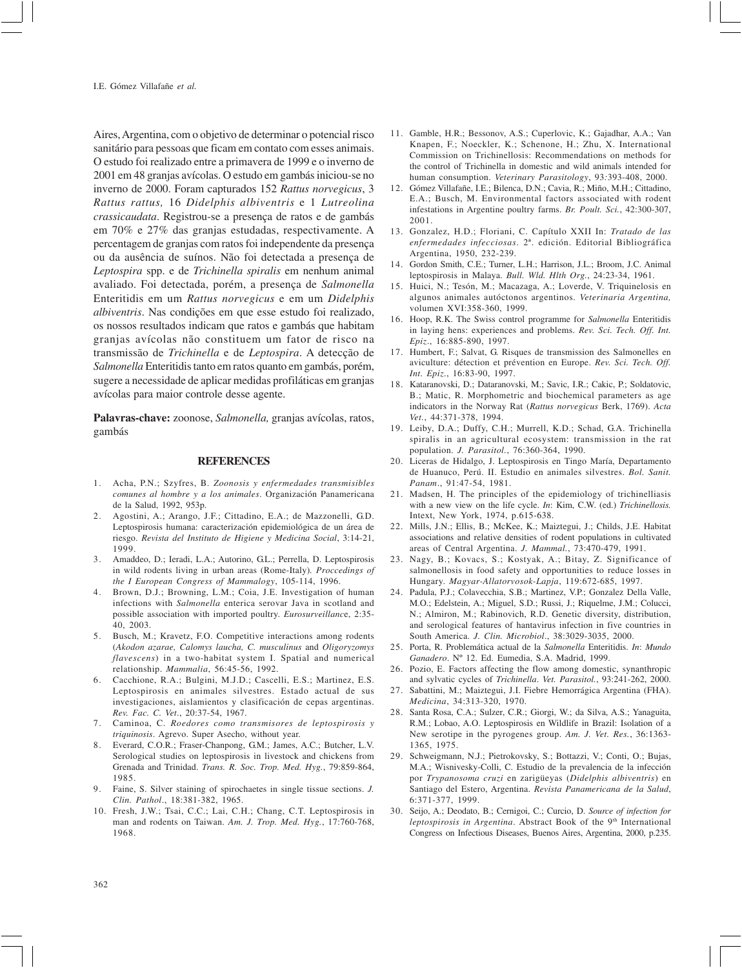Aires, Argentina, com o objetivo de determinar o potencial risco sanitário para pessoas que ficam em contato com esses animais. O estudo foi realizado entre a primavera de 1999 e o inverno de 2001 em 48 granjas avícolas. O estudo em gambás iniciou-se no inverno de 2000. Foram capturados 152 *Rattus norvegicus*, 3 *Rattus rattus,* 16 *Didelphis albiventris* e 1 *Lutreolina crassicaudata*. Registrou-se a presença de ratos e de gambás em 70% e 27% das granjas estudadas, respectivamente. A percentagem de granjas com ratos foi independente da presença ou da ausência de suínos. Não foi detectada a presença de *Leptospira* spp. e de *Trichinella spiralis* em nenhum animal avaliado. Foi detectada, porém, a presença de *Salmonella* Enteritidis em um *Rattus norvegicus* e em um *Didelphis albiventris*. Nas condições em que esse estudo foi realizado, os nossos resultados indicam que ratos e gambás que habitam granjas avícolas não constituem um fator de risco na transmissão de *Trichinella* e de *Leptospira*. A detecção de *Salmonella* Enteritidis tanto em ratos quanto em gambás, porém, sugere a necessidade de aplicar medidas profiláticas em granjas avícolas para maior controle desse agente.

**Palavras-chave:** zoonose, *Salmonella,* granjas avícolas, ratos, gambás

### **REFERENCES**

- 1. Acha, P.N.; Szyfres, B. *Zoonosis y enfermedades transmisibles comunes al hombre y a los animales*. Organización Panamericana de la Salud, 1992, 953p.
- 2. Agostini, A.; Arango, J.F.; Cittadino, E.A.; de Mazzonelli, G.D. Leptospirosis humana: caracterización epidemiológica de un área de riesgo. *Revista del Instituto de Higiene y Medicina Social*, 3:14-21, 1999.
- 3. Amaddeo, D.; Ieradi, L.A.; Autorino, G.L.; Perrella, D. Leptospirosis in wild rodents living in urban areas (Rome-Italy)*. Proccedings of the I European Congress of Mammalogy*, 105-114, 1996.
- 4. Brown, D.J.; Browning, L.M.; Coia, J.E. Investigation of human infections with *Salmonella* enterica serovar Java in scotland and possible association with imported poultry. *Eurosurveillanc*e, 2:35- 40, 2003.
- 5. Busch, M.; Kravetz, F.O. Competitive interactions among rodents (*Akodon azarae, Calomys laucha, C. musculinus* and *Oligoryzomys flavescens*) in a two-habitat system I. Spatial and numerical relationship. *Mammalia*, 56:45-56, 1992.
- 6. Cacchione, R.A.; Bulgini, M.J.D.; Cascelli, E.S.; Martinez, E.S. Leptospirosis en animales silvestres. Estado actual de sus investigaciones, aislamientos y clasificación de cepas argentinas. *Rev. Fac. C. Vet*., 20:37-54, 1967.
- 7. Caminoa, C. *Roedores como transmisores de leptospirosis y triquinosis*. Agrevo. Super Asecho, without year.
- 8. Everard, C.O.R.; Fraser-Chanpong, G.M.; James, A.C.; Butcher, L.V. Serological studies on leptospirosis in livestock and chickens from Grenada and Trinidad. *Trans. R. Soc. Trop. Med. Hyg.*, 79:859-864, 1985.
- 9. Faine, S. Silver staining of spirochaetes in single tissue sections. *J. Clin. Pathol*., 18:381-382, 1965.
- 10. Fresh, J.W.; Tsai, C.C.; Lai, C.H.; Chang, C.T. Leptospirosis in man and rodents on Taiwan. *Am. J. Trop. Med. Hyg.*, 17:760-768, 1968.
- 11. Gamble, H.R.; Bessonov, A.S.; Cuperlovic, K.; Gajadhar, A.A.; Van Knapen, F.; Noeckler, K.; Schenone, H.; Zhu, X. International Commission on Trichinellosis: Recommendations on methods for the control of Trichinella in domestic and wild animals intended for human consumption. *Veterinary Parasitology*, 93*:*393-408, 2000.
- 12. Gómez Villafañe, I.E.; Bilenca, D.N.; Cavia, R.; Miño, M.H.; Cittadino, E.A.; Busch, M. Environmental factors associated with rodent infestations in Argentine poultry farms. *Br. Poult. Sci.*, 42:300-307, 2001.
- 13. Gonzalez, H.D.; Floriani, C. Capítulo XXII In: *Tratado de las enfermedades infecciosas*. 2ª. edición. Editorial Bibliográfica Argentina, 1950, 232-239.
- 14. Gordon Smith, C.E.; Turner, L.H.; Harrison, J.L.; Broom, J.C. Animal leptospirosis in Malaya. *Bull. Wld. Hlth Org.*, 24:23-34, 1961.
- 15. Huici, N.; Tesón, M.; Macazaga, A.; Loverde, V. Triquinelosis en algunos animales autóctonos argentinos. *Veterinaria Argentina,* volumen XVI:358-360, 1999.
- 16. Hoop, R.K. The Swiss control programme for *Salmonella* Enteritidis in laying hens: experiences and problems. *Rev. Sci. Tech. Off. Int. Epiz*., 16:885-890, 1997.
- 17. Humbert, F.; Salvat, G. Risques de transmission des Salmonelles en aviculture: détection et prévention en Europe. *Rev. Sci. Tech. Off. Int. Epiz*., 16:83-90, 1997.
- 18. Kataranovski, D.; Dataranovski, M.; Savic, I.R.; Cakic, P.; Soldatovic, B.; Matic, R. Morphometric and biochemical parameters as age indicators in the Norway Rat (*Rattus norvegicus* Berk, 1769). *Acta Vet.*, 44:371-378, 1994.
- 19. Leiby, D.A.; Duffy, C.H.; Murrell, K.D.; Schad, G.A. Trichinella spiralis in an agricultural ecosystem: transmission in the rat population. *J. Parasitol.*, 76:360-364, 1990.
- 20. Liceras de Hidalgo, J. Leptospirosis en Tingo María, Departamento de Huanuco, Perú. II. Estudio en animales silvestres. *Bol. Sanit. Panam*., 91:47-54, 1981.
- 21. Madsen, H. The principles of the epidemiology of trichinelliasis with a new view on the life cycle. *In*: Kim, C.W. (ed.) *Trichinellosis.* Intext, New York, 1974, p.615-638.
- 22. Mills, J.N.; Ellis, B.; McKee, K.; Maiztegui, J.; Childs, J.E. Habitat associations and relative densities of rodent populations in cultivated areas of Central Argentina. *J. Mammal.*, 73:470-479, 1991.
- 23. Nagy, B.; Kovacs, S.; Kostyak, A.; Bitay, Z. Significance of salmonellosis in food safety and opportunities to reduce losses in Hungary. *Magyar-Allatorvosok-Lapja*, 119:672-685, 1997.
- 24. Padula, P.J.; Colavecchia, S.B.; Martinez, V.P.; Gonzalez Della Valle, M.O.; Edelstein, A.; Miguel, S.D.; Russi, J.; Riquelme, J.M.; Colucci, N.; Almiron, M.; Rabinovich, R.D. Genetic diversity, distribution, and serological features of hantavirus infection in five countries in South America. *J. Clin. Microbiol*., 38:3029-3035, 2000.
- 25. Porta, R. Problemática actual de la *Salmonella* Enteritidis. *In*: *Mundo Ganadero*. Nº 12. Ed. Eumedia, S.A. Madrid, 1999.
- 26. Pozio, E. Factors affecting the flow among domestic, synanthropic and sylvatic cycles of *Trichinella*. *Vet. Parasitol.*, 93:241-262, 2000.
- 27. Sabattini, M.; Maiztegui, J.I. Fiebre Hemorrágica Argentina (FHA). *Medicina*, 34:313-320, 1970.
- 28. Santa Rosa, C.A.; Sulzer, C.R.; Giorgi, W.; da Silva, A.S.; Yanaguita, R.M.; Lobao, A.O. Leptospirosis en Wildlife in Brazil: Isolation of a New serotipe in the pyrogenes group. *Am. J. Vet. Res.*, 36:1363- 1365, 1975.
- 29. Schweigmann, N.J.; Pietrokovsky, S.; Bottazzi, V.; Conti, O.; Bujas, M.A.; Wisnivesky-Colli, C. Estudio de la prevalencia de la infección por *Trypanosoma cruzi* en zarigüeyas (*Didelphis albiventris*) en Santiago del Estero, Argentina. *Revista Panamericana de la Salud*, 6:371-377, 1999.
- 30. Seijo, A.; Deodato, B.; Cernigoi, C.; Curcio, D. *Source of infection for* leptospirosis in Argentina. Abstract Book of the 9<sup>th</sup> International Congress on Infectious Diseases, Buenos Aires, Argentina, 2000, p.235.